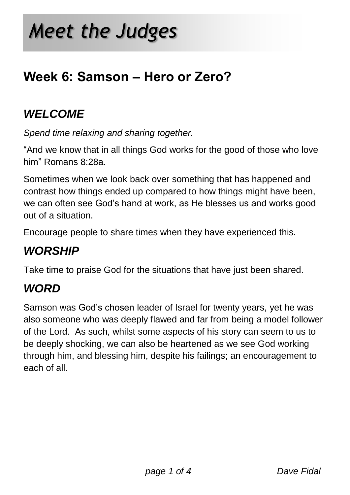# **Week 6: Samson – Hero or Zero?**

## *WELCOME*

*Spend time relaxing and sharing together.*

"And we know that in all things God works for the good of those who love him" Romans 8:28a.

Sometimes when we look back over something that has happened and contrast how things ended up compared to how things might have been, we can often see God"s hand at work, as He blesses us and works good out of a situation.

Encourage people to share times when they have experienced this.

# *WORSHIP*

Take time to praise God for the situations that have just been shared.

## *WORD*

Samson was God"s chosen leader of Israel for twenty years, yet he was also someone who was deeply flawed and far from being a model follower of the Lord. As such, whilst some aspects of his story can seem to us to be deeply shocking, we can also be heartened as we see God working through him, and blessing him, despite his failings; an encouragement to each of all.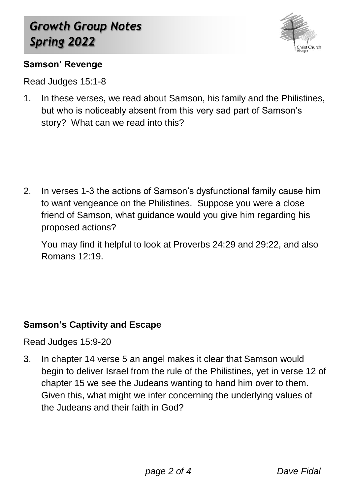

#### **Samson' Revenge**

Read Judges 15:1-8

1. In these verses, we read about Samson, his family and the Philistines, but who is noticeably absent from this very sad part of Samson"s story? What can we read into this?

2. In verses 1-3 the actions of Samson"s dysfunctional family cause him to want vengeance on the Philistines. Suppose you were a close friend of Samson, what guidance would you give him regarding his proposed actions?

You may find it helpful to look at Proverbs 24:29 and 29:22, and also Romans 12:19.

#### **Samson's Captivity and Escape**

Read Judges 15:9-20

3. In chapter 14 verse 5 an angel makes it clear that Samson would begin to deliver Israel from the rule of the Philistines, yet in verse 12 of chapter 15 we see the Judeans wanting to hand him over to them. Given this, what might we infer concerning the underlying values of the Judeans and their faith in God?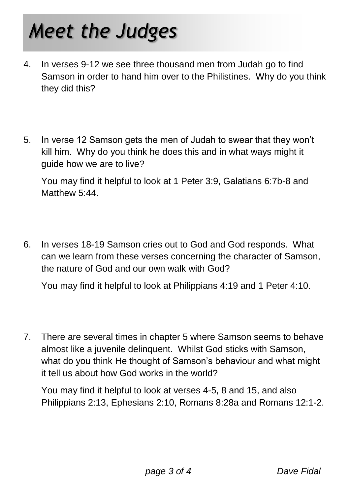# *Meet the Judges*

- 4. In verses 9-12 we see three thousand men from Judah go to find Samson in order to hand him over to the Philistines. Why do you think they did this?
- 5. In verse 12 Samson gets the men of Judah to swear that they won"t kill him. Why do you think he does this and in what ways might it guide how we are to live?

You may find it helpful to look at 1 Peter 3:9, Galatians 6:7b-8 and Matthew 5:44

6. In verses 18-19 Samson cries out to God and God responds. What can we learn from these verses concerning the character of Samson, the nature of God and our own walk with God?

You may find it helpful to look at Philippians 4:19 and 1 Peter 4:10.

7. There are several times in chapter 5 where Samson seems to behave almost like a juvenile delinquent. Whilst God sticks with Samson, what do you think He thought of Samson's behaviour and what might it tell us about how God works in the world?

You may find it helpful to look at verses 4-5, 8 and 15, and also Philippians 2:13, Ephesians 2:10, Romans 8:28a and Romans 12:1-2.